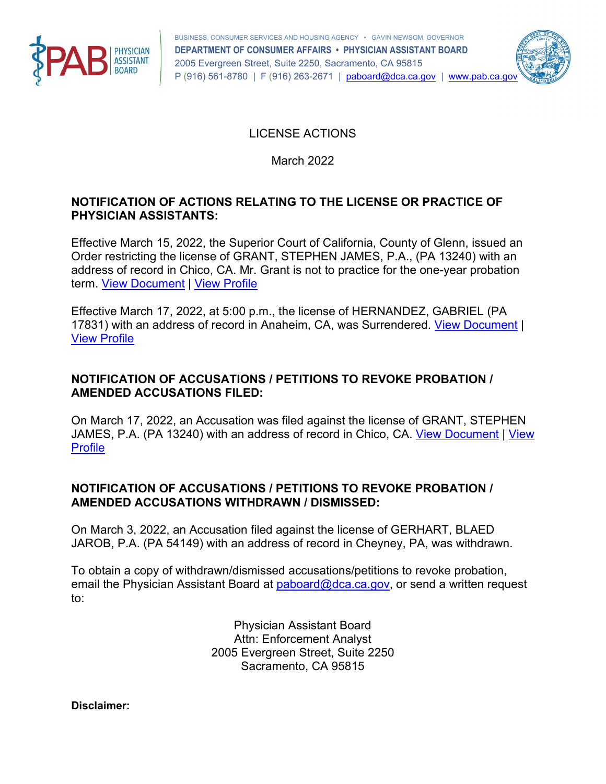



LICENSE ACTIONS

March 2022

## **NOTIFICATION OF ACTIONS RELATING TO THE LICENSE OR PRACTICE OF PHYSICIAN ASSISTANTS:**

term. View Document | View Profile Effective March 15, 2022, the Superior Court of California, County of Glenn, issued an Order restricting the license of GRANT, STEPHEN JAMES, P.A., (PA 13240) with an address of record in Chico, CA. Mr. Grant is not to practice for the one-year probation

term. <u>View Document</u> | <u>View Profile</u><br>Effective March 17, 2022, at 5:00 p.m., the license of HERNANDEZ, GABRIEL (PA [View Profile](https://search.dca.ca.gov/details/9501/PA/17831/feca6c091140de2bdfe24e26802bacec) 17831) with an address of record in Anaheim, CA, was Surrendered. [View Document](https://search.dca.ca.gov/download95b0224b689b262e32d1839b7f658e4631c8e7379c8855eb3b690db16aace25cf2ac987b552991f48a49ba2dc4961b409da215ffade7f6fb9da8dffbd917e778b55525f64f904cfeeba384f10cbe529fbcc11f9a8d9fc8c98fa1728d44e65c3d) |

## **NOTIFICATION OF ACCUSATIONS / PETITIONS TO REVOKE PROBATION / AMENDED ACCUSATIONS FILED:**

 On March 17, 2022, an Accusation was filed against the license of GRANT, STEPHEN [Profile](https://search.dca.ca.gov/details/9501/PA/13240/c605673203b18f463a36457075e15be6) JAMES, P.A. (PA 13240) with an address of record in Chico, CA. [View Document](https://search.dca.ca.gov/download95b0224b689b262e32d1839b7f658e4631c8e7379c8855eb3b690db16aace25c6dd00a4ff20b37cd57dc9607d49d9d76552acdf937e7bb9cf5a9f83e7853aff39dcdab69324564309d85208747bdd9c6) | [View](https://search.dca.ca.gov/details/9501/PA/13240/c605673203b18f463a36457075e15be6) 

## **NOTIFICATION OF ACCUSATIONS / PETITIONS TO REVOKE PROBATION / AMENDED ACCUSATIONS WITHDRAWN / DISMISSED:**

On March 3, 2022, an Accusation filed against the license of GERHART, BLAED JAROB, P.A. (PA 54149) with an address of record in Cheyney, PA, was withdrawn.

To obtain a copy of withdrawn/dismissed accusations/petitions to revoke probation, email the Physician Assistant Board at [paboard@dca.ca.gov,](mailto:paboard@dca.ca.gov) or send a written request to:

> Physician Assistant Board Attn: Enforcement Analyst 2005 Evergreen Street, Suite 2250 Sacramento, CA 95815

**Disclaimer:**